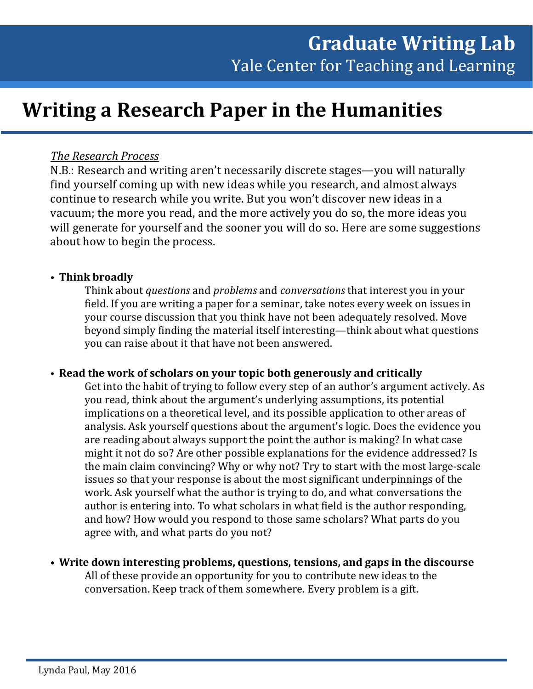# **Writing a Research Paper in the Humanities**

# *The Research Process*

N.B.: Research and writing aren't necessarily discrete stages—you will naturally find yourself coming up with new ideas while you research, and almost always continue to research while you write. But you won't discover new ideas in a vacuum; the more you read, and the more actively you do so, the more ideas you will generate for yourself and the sooner you will do so. Here are some suggestions about how to begin the process.

# • **Think broadly**

Think about *questions* and *problems* and *conversations* that interest you in your field. If you are writing a paper for a seminar, take notes every week on issues in your course discussion that you think have not been adequately resolved. Move beyond simply finding the material itself interesting—think about what questions you can raise about it that have not been answered.

## • **Read the work of scholars on your topic both generously and critically**

Get into the habit of trying to follow every step of an author's argument actively. As you read, think about the argument's underlying assumptions, its potential implications on a theoretical level, and its possible application to other areas of analysis. Ask yourself questions about the argument's logic. Does the evidence you are reading about always support the point the author is making? In what case might it not do so? Are other possible explanations for the evidence addressed? Is the main claim convincing? Why or why not? Try to start with the most large-scale issues so that your response is about the most significant underpinnings of the work. Ask yourself what the author is trying to do, and what conversations the author is entering into. To what scholars in what field is the author responding, and how? How would you respond to those same scholars? What parts do you agree with, and what parts do you not?

• **Write down interesting problems, questions, tensions, and gaps in the discourse** All of these provide an opportunity for you to contribute new ideas to the conversation. Keep track of them somewhere. Every problem is a gift.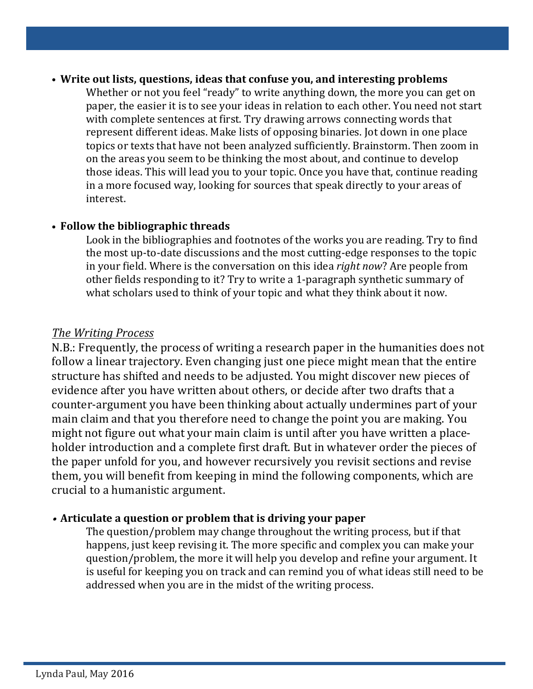## • **Write out lists, questions, ideas that confuse you, and interesting problems**

Whether or not you feel "ready" to write anything down, the more you can get on paper, the easier it is to see your ideas in relation to each other. You need not start with complete sentences at first. Try drawing arrows connecting words that represent different ideas. Make lists of opposing binaries. Jot down in one place topics or texts that have not been analyzed sufficiently. Brainstorm. Then zoom in on the areas you seem to be thinking the most about, and continue to develop those ideas. This will lead you to your topic. Once you have that, continue reading in a more focused way, looking for sources that speak directly to your areas of interest.

# • **Follow the bibliographic threads**

Look in the bibliographies and footnotes of the works you are reading. Try to find the most up-to-date discussions and the most cutting-edge responses to the topic in your field. Where is the conversation on this idea *right now*? Are people from other fields responding to it? Try to write a 1-paragraph synthetic summary of what scholars used to think of your topic and what they think about it now.

# *The Writing Process*

N.B.: Frequently, the process of writing a research paper in the humanities does not follow a linear trajectory. Even changing just one piece might mean that the entire structure has shifted and needs to be adjusted. You might discover new pieces of evidence after you have written about others, or decide after two drafts that a counter-argument you have been thinking about actually undermines part of your main claim and that you therefore need to change the point you are making. You might not figure out what your main claim is until after you have written a placeholder introduction and a complete first draft. But in whatever order the pieces of the paper unfold for you, and however recursively you revisit sections and revise them, you will benefit from keeping in mind the following components, which are crucial to a humanistic argument.

# • **Articulate a question or problem that is driving your paper**

The question/problem may change throughout the writing process, but if that happens, just keep revising it. The more specific and complex you can make your question/problem, the more it will help you develop and refine your argument. It is useful for keeping you on track and can remind you of what ideas still need to be addressed when you are in the midst of the writing process.